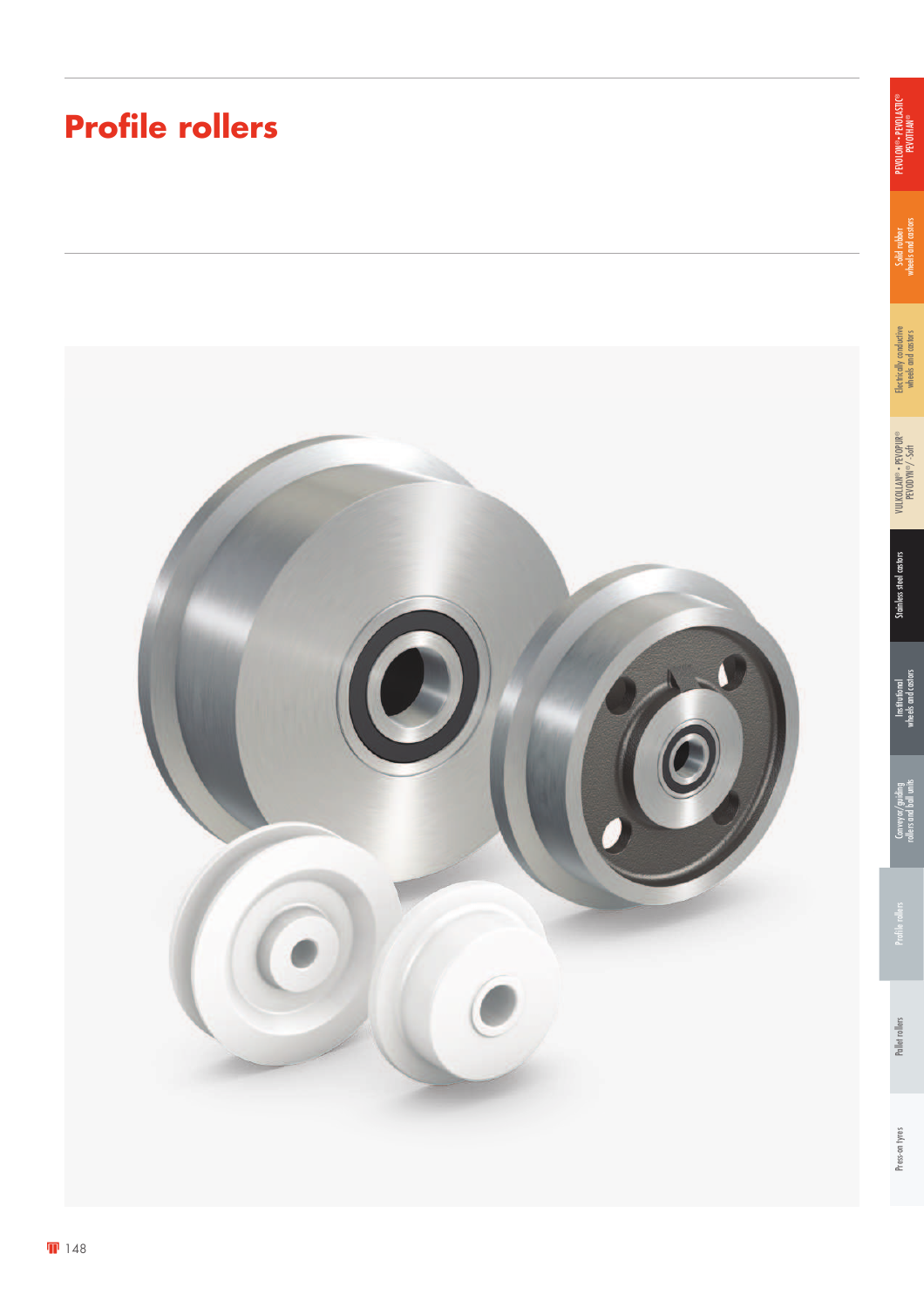## **Profile rollers**



Solid rubber<br>wheels and castors wheels and castors

PEVOLON® • PEVOLASTIC® PEVOLON®• PEVOLASTIC®<br>PEVOTHAN®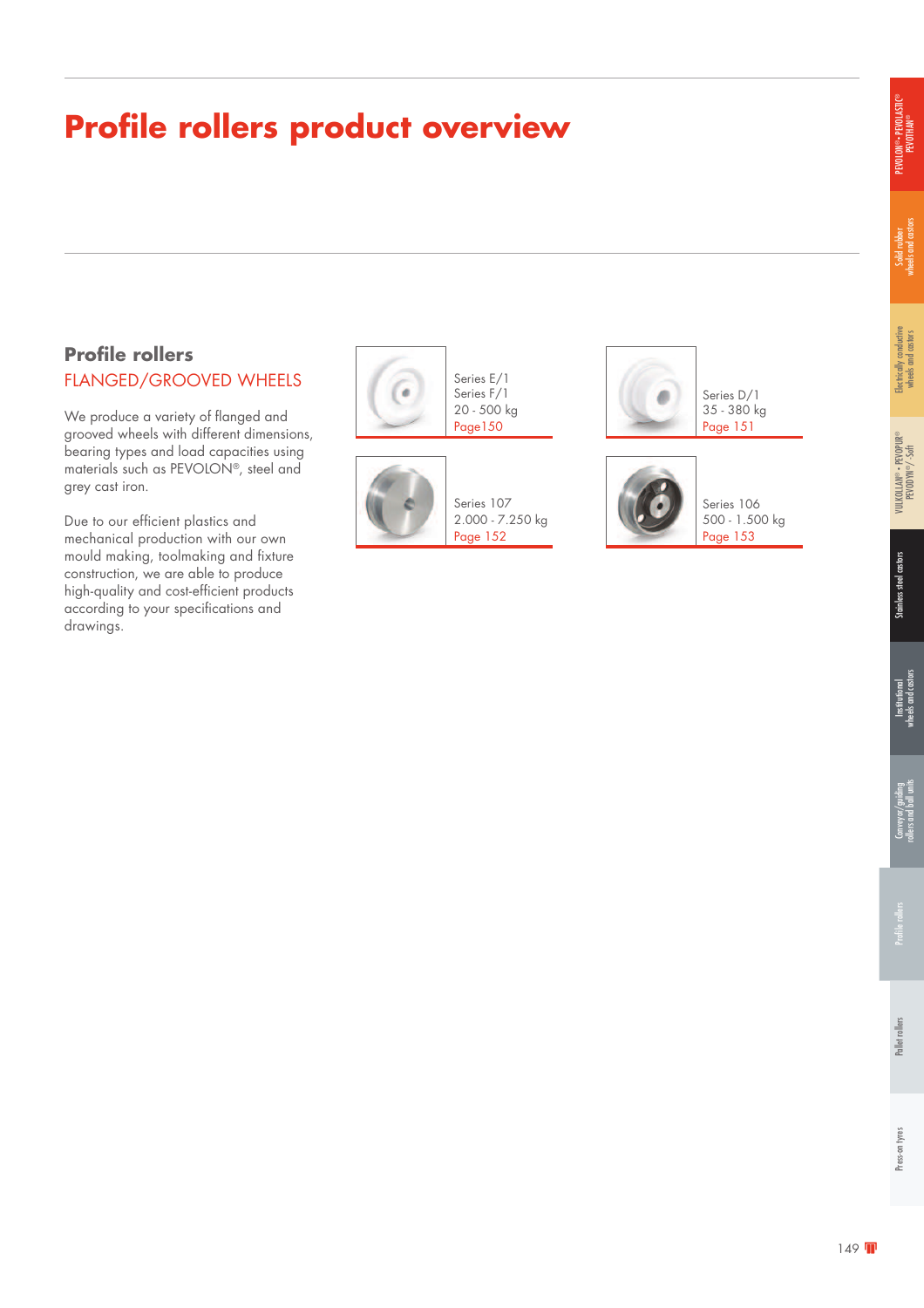### **Profile rollers product overview**

### **Profile rollers** FLANGED/GROOVED WHEELS

We produce a variety of flanged and grooved wheels with different dimensions, bearing types and load capacities using materials such as PEVOLON®, steel and grey cast iron.

Due to our efficient plastics and mechanical production with our own mould making, toolmaking and fixture construction, we are able to produce high-quality and cost-efficient products according to your specifications and drawings.





Series 107 2.000 - 7.250 kg Page 152



Series D/1 35 - 380 kg Page 151



Series 106 500 - 1.500 kg Page 153

®

Electrically conductive wheels and castors

Electrically conductive<br>wheels and castors

Solid rubber<br>wheels and castors wheels and castors

PEVOLON® • PEVOLASTIC® ON®• PEVOLASTIC<br>PEVOTHAN®

> PEVODYN ®/ -Soft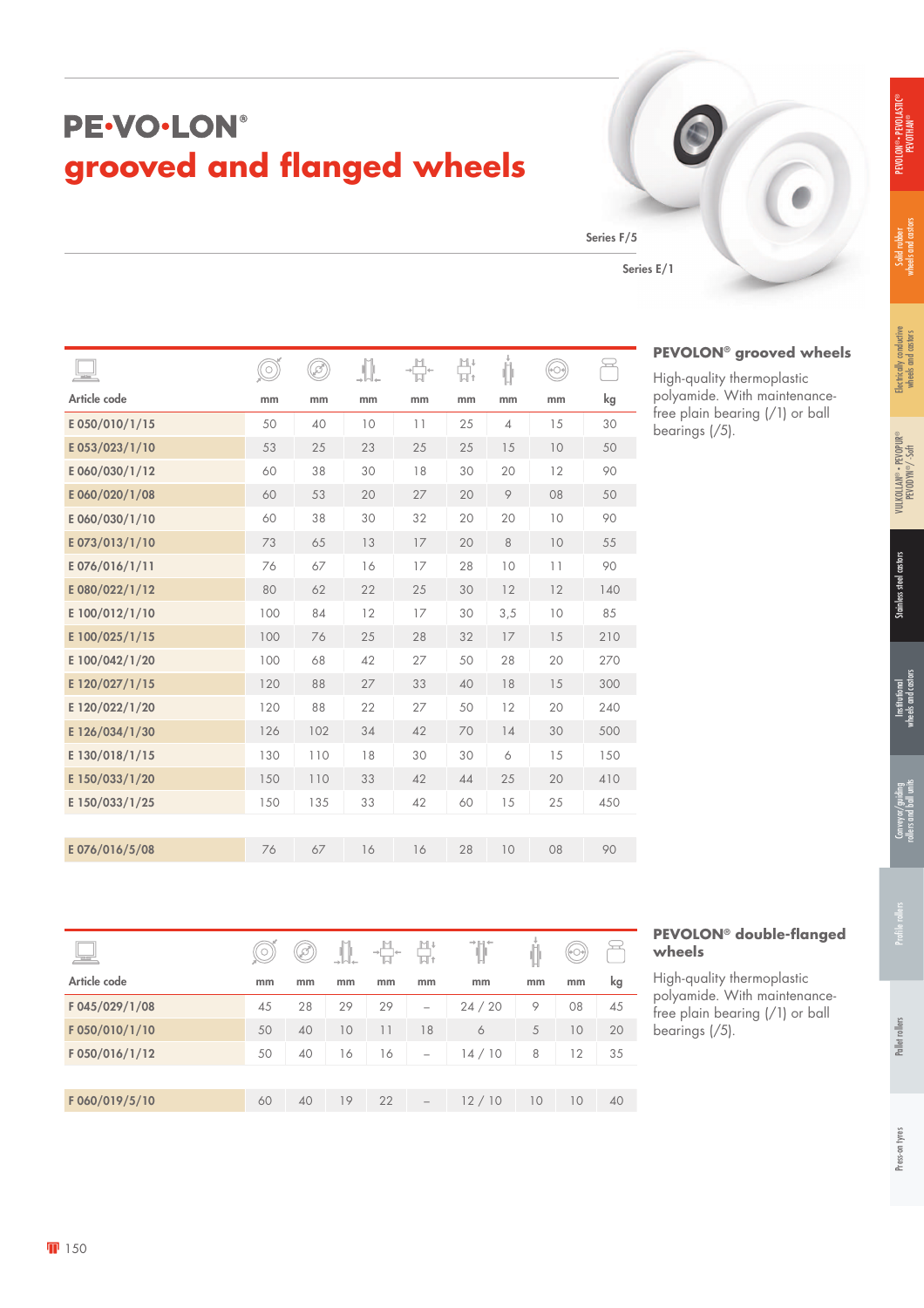## PE-VO-LON® **grooved and flanged wheels**

Series F/5

Series E/1

High-quality thermoplastic polyamide. With maintenancefree plain bearing (/1) or ball bearings (/5).

| $\overline{\phantom{a}}$ |     | Ì   |    |    | 비.<br>니. | J<br>Ů         | (+⊝∘ |     |
|--------------------------|-----|-----|----|----|----------|----------------|------|-----|
| Article code             | mm  | mm  | mm | mm | mm       | mm             | mm   | kg  |
| E050/010/1/15            | 50  | 40  | 10 | 11 | 25       | $\overline{4}$ | 15   | 30  |
| E053/023/1/10            | 53  | 25  | 23 | 25 | 25       | 15             | 10   | 50  |
| E060/030/1/12            | 60  | 38  | 30 | 18 | 30       | 20             | 12   | 90  |
| E060/020/1/08            | 60  | 53  | 20 | 27 | 20       | 9              | 08   | 50  |
| E 060/030/1/10           | 60  | 38  | 30 | 32 | 20       | 20             | 10   | 90  |
| E073/013/1/10            | 73  | 65  | 13 | 17 | 20       | 8              | 10   | 55  |
| E076/016/1/11            | 76  | 67  | 16 | 17 | 28       | 10             | 11   | 90  |
| E080/022/1/12            | 80  | 62  | 22 | 25 | 30       | 12             | 12   | 140 |
| E 100/012/1/10           | 100 | 84  | 12 | 17 | 30       | 3,5            | 10   | 85  |
| E 100/025/1/15           | 100 | 76  | 25 | 28 | 32       | 17             | 15   | 210 |
| E 100/042/1/20           | 100 | 68  | 42 | 27 | 50       | 28             | 20   | 270 |
| E 120/027/1/15           | 120 | 88  | 27 | 33 | 40       | 18             | 15   | 300 |
| E 120/022/1/20           | 120 | 88  | 22 | 27 | 50       | 12             | 20   | 240 |
| E 126/034/1/30           | 126 | 102 | 34 | 42 | 70       | 14             | 30   | 500 |
| E 130/018/1/15           | 130 | 110 | 18 | 30 | 30       | 6              | 15   | 150 |
| E 150/033/1/20           | 150 | 110 | 33 | 42 | 44       | 25             | 20   | 410 |
| E 150/033/1/25           | 150 | 135 | 33 | 42 | 60       | 15             | 25   | 450 |
|                          |     |     |    |    |          |                |      |     |
| E076/016/5/08            | 76  | 67  | 16 | 16 | 28       | 10             | 08   | 90  |
|                          |     |     |    |    |          |                |      |     |

| $\frac{1}{2}$  |    | D  |    | $\rightarrow$<br>$\leftarrow$ |                          |       |    |    |    |
|----------------|----|----|----|-------------------------------|--------------------------|-------|----|----|----|
| Article code   | mm | mm | mm | mm                            | mm                       | mm    | mm | mm | kg |
| F 045/029/1/08 | 45 | 28 | 29 | 29                            | $\overline{\phantom{m}}$ | 24/20 | 9  | 08 | 45 |
| F050/010/1/10  | 50 | 40 | 10 | 11                            | 18                       | 6     | 5  | 10 | 20 |
| F050/016/1/12  | 50 | 40 | 16 | 16                            | -                        | 14/10 | 8  | 12 | 35 |
|                |    |    |    |                               |                          |       |    |    |    |
| F060/019/5/10  | 60 | 40 | 19 | 22                            | $\overline{\phantom{0}}$ | 12/10 | 10 | 10 | 40 |

### **PEVOLON® double-flanged wheels**

High-quality thermoplastic polyamide. With maintenancefree plain bearing (/1) or ball bearings (/5).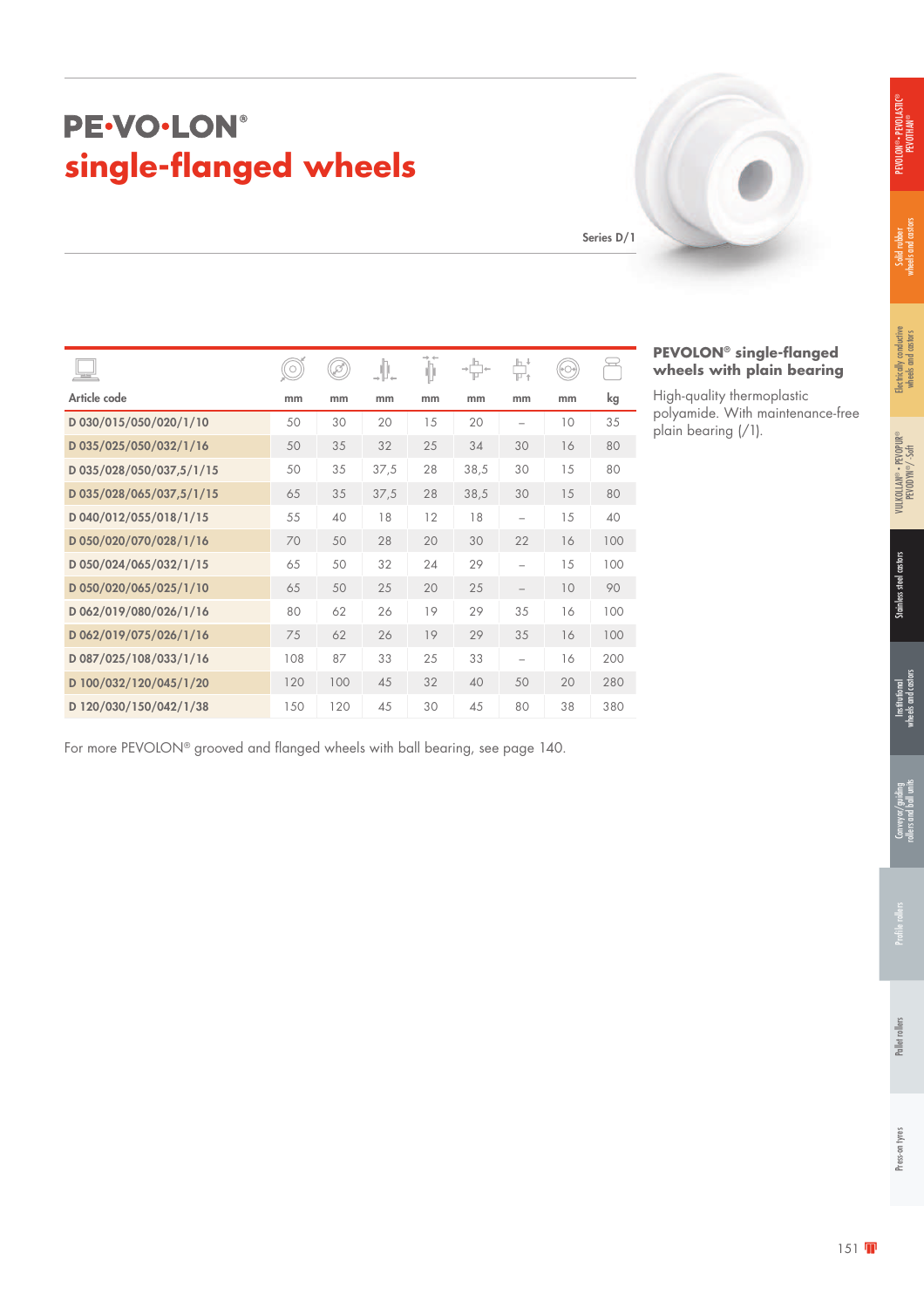### PE-VO-LON® **single-flanged wheels**

Series D/1

| $=$                      | $\circ$ | Þ.  | .∥.  | Þ  |      | 붜  | (→○→) |     |
|--------------------------|---------|-----|------|----|------|----|-------|-----|
| Article code             | mm      | mm  | mm   | mm | mm   | mm | mm    | kg  |
| D 030/015/050/020/1/10   | 50      | 30  | 20   | 15 | 20   |    | 10    | 35  |
| D 035/025/050/032/1/16   | 50      | 35  | 32   | 25 | 34   | 30 | 16    | 80  |
| D 035/028/050/037,5/1/15 | 50      | 35  | 37,5 | 28 | 38,5 | 30 | 15    | 80  |
| D 035/028/065/037,5/1/15 | 65      | 35  | 37,5 | 28 | 38,5 | 30 | 15    | 80  |
| D 040/012/055/018/1/15   | 55      | 40  | 18   | 12 | 18   |    | 15    | 40  |
| D 050/020/070/028/1/16   | 70      | 50  | 28   | 20 | 30   | 22 | 16    | 100 |
| D 050/024/065/032/1/15   | 65      | 50  | 32   | 24 | 29   |    | 15    | 100 |
| D 050/020/065/025/1/10   | 65      | 50  | 25   | 20 | 25   |    | 10    | 90  |
| D 062/019/080/026/1/16   | 80      | 62  | 26   | 19 | 29   | 35 | 16    | 100 |
| D 062/019/075/026/1/16   | 75      | 62  | 26   | 19 | 29   | 35 | 16    | 100 |
| D 087/025/108/033/1/16   | 108     | 87  | 33   | 25 | 33   |    | 16    | 200 |
| D 100/032/120/045/1/20   | 120     | 100 | 45   | 32 | 40   | 50 | 20    | 280 |
| D 120/030/150/042/1/38   | 150     | 120 | 45   | 30 | 45   | 80 | 38    | 380 |

For more PEVOLON® grooved and flanged wheels with ball bearing, see page 140.

### **PEVOLON® single-flanged wheels with plain bearing**

High-quality thermoplastic polyamide. With maintenance-free plain bearing (/1).

Solid rubber<br>wheels and castors wheels and castors

Electrically conductive wheels and castors

Electrically conductive<br>wheels and castors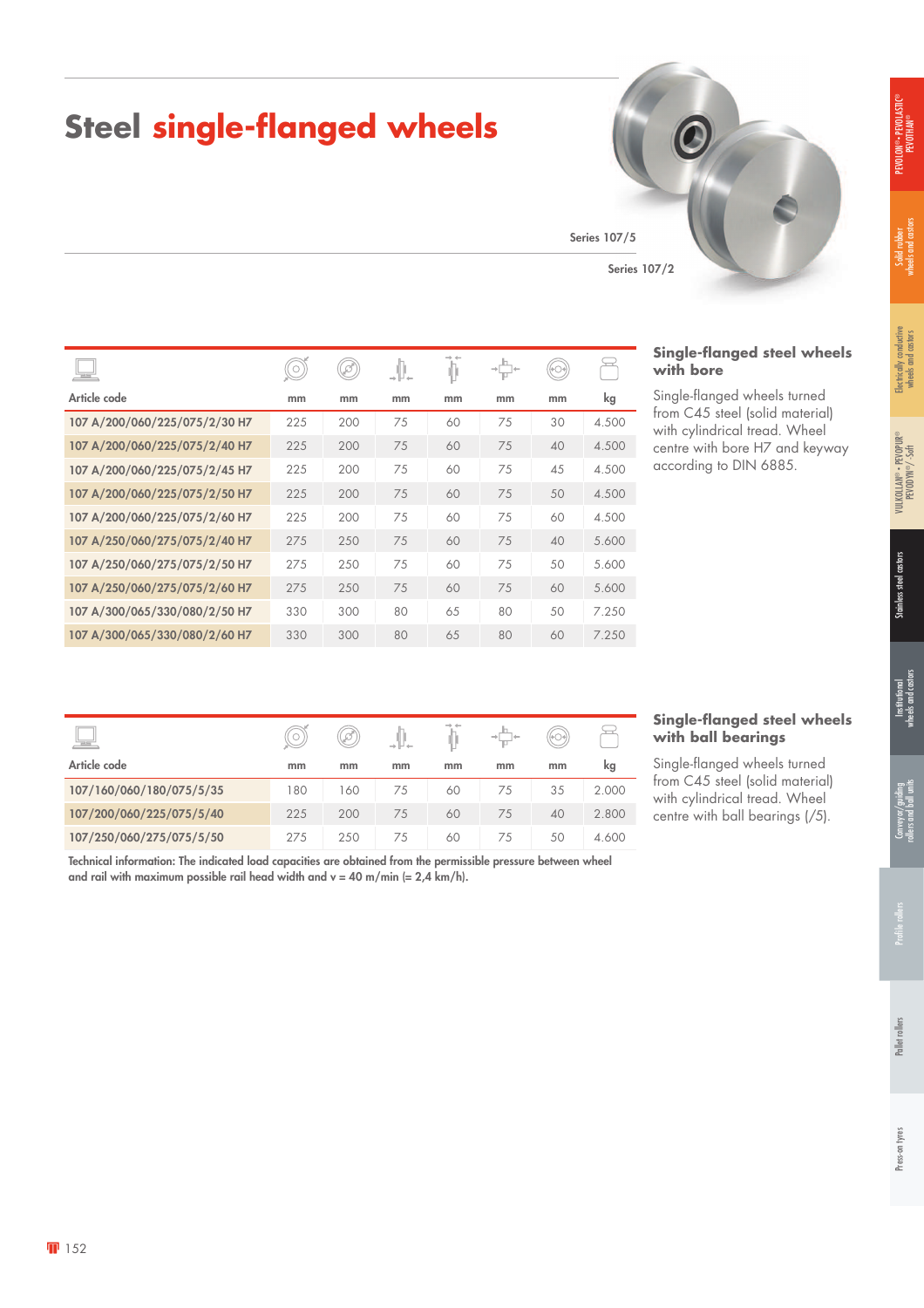## **Steel single-flanged wheels**

Series 107/5

|                               |     | Ø)  | JL. |    | $\rightarrow$ | $(\circ\circ)$ |       |
|-------------------------------|-----|-----|-----|----|---------------|----------------|-------|
| Article code                  | mm  | mm  | mm  | mm | mm            | mm             | kg    |
| 107 A/200/060/225/075/2/30 H7 | 225 | 200 | 75  | 60 | 75            | 30             | 4.500 |
| 107 A/200/060/225/075/2/40 H7 | 225 | 200 | 75  | 60 | 75            | 40             | 4.500 |
| 107 A/200/060/225/075/2/45 H7 | 225 | 200 | 75  | 60 | 75            | 45             | 4.500 |
| 107 A/200/060/225/075/2/50 H7 | 225 | 200 | 75  | 60 | 75            | 50             | 4.500 |
| 107 A/200/060/225/075/2/60 H7 | 225 | 200 | 75  | 60 | 75            | 60             | 4.500 |
| 107 A/250/060/275/075/2/40 H7 | 275 | 250 | 75  | 60 | 75            | 40             | 5.600 |
| 107 A/250/060/275/075/2/50 H7 | 275 | 250 | 75  | 60 | 75            | 50             | 5.600 |
| 107 A/250/060/275/075/2/60 H7 | 275 | 250 | 75  | 60 | 75            | 60             | 5.600 |
| 107 A/300/065/330/080/2/50 H7 | 330 | 300 | 80  | 65 | 80            | 50             | 7.250 |
| 107 A/300/065/330/080/2/60 H7 | 330 | 300 | 80  | 65 | 80            | 60             | 7.250 |

| 三                        |     | Ï   |    |    |    |    |       |
|--------------------------|-----|-----|----|----|----|----|-------|
| Article code             | mm  | mm  | mm | mm | mm | mm | kg    |
| 107/160/060/180/075/5/35 | 180 | 160 | 75 | 60 | 75 | 35 | 2.000 |
| 107/200/060/225/075/5/40 | 225 | 200 | 75 | 60 | 75 | 40 | 2.800 |
| 107/250/060/275/075/5/50 | 275 | 250 | 75 | 60 | 75 | 50 | 4.600 |

### **with ball bearings** eels turned

**Single-flanged steel wheels** 

blid material) ad. Wheel earings  $\left(\sqrt{5}\right)$ .

Technical information: The indicated load capacities are obtained from the permissible pressure between wheel and rail with maximum possible rail head width and  $v = 40$  m/min (= 2,4 km/h).



**Single-flanged steel wheels** 

Single-flanged wheels turned from C45 steel (solid material) with cylindrical tread. Wheel centre with bore H7 and keyway according to DIN 6885.

**with bore**

| nm | kg    | Single-flanged whe                         |
|----|-------|--------------------------------------------|
| 35 | 2.000 | from C45 steel (so<br>with cylindrical tre |
| 40 | 2.800 | centre with ball be                        |
| 50 | 4.600 |                                            |
|    |       |                                            |